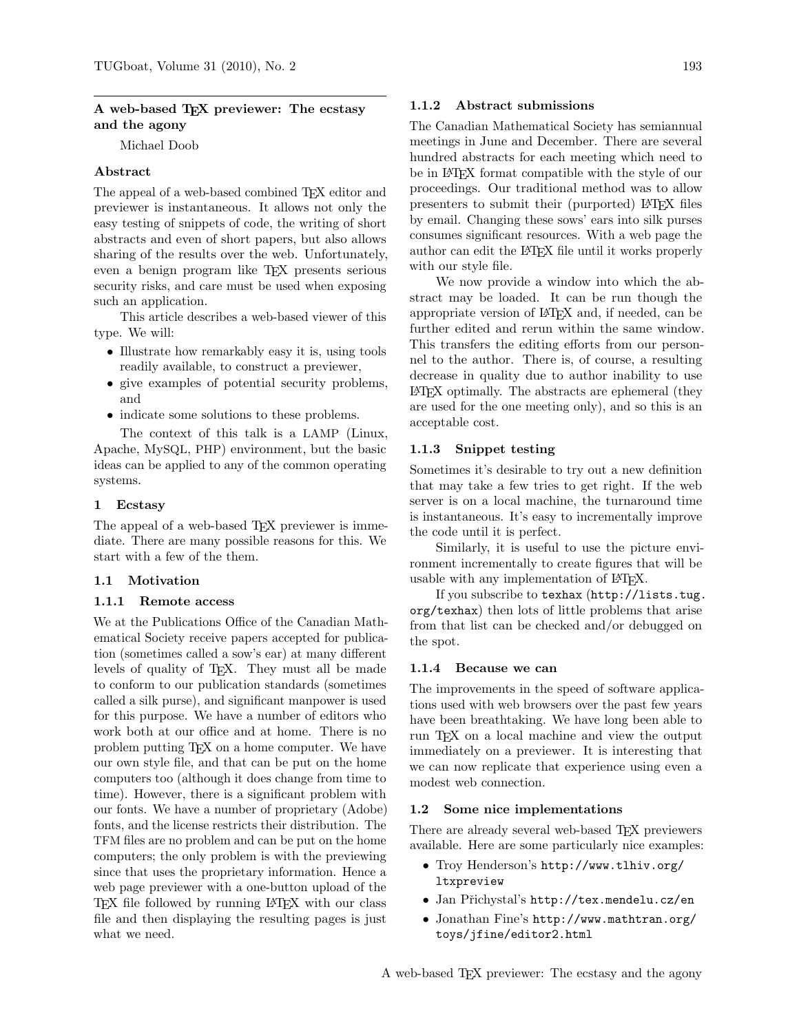### A web-based T<sub>F</sub>X previewer: The ecstasy and the agony

Michael Doob

#### Abstract

The appeal of a web-based combined T<sub>EX</sub> editor and previewer is instantaneous. It allows not only the easy testing of snippets of code, the writing of short abstracts and even of short papers, but also allows sharing of the results over the web. Unfortunately, even a benign program like TEX presents serious security risks, and care must be used when exposing such an application.

This article describes a web-based viewer of this type. We will:

- Illustrate how remarkably easy it is, using tools readily available, to construct a previewer,
- give examples of potential security problems, and
- indicate some solutions to these problems.

The context of this talk is a LAMP (Linux, Apache, MySQL, PHP) environment, but the basic ideas can be applied to any of the common operating systems.

#### 1 Ecstasy

The appeal of a web-based T<sub>F</sub>X previewer is immediate. There are many possible reasons for this. We start with a few of the them.

#### 1.1 Motivation

#### 1.1.1 Remote access

We at the Publications Office of the Canadian Mathematical Society receive papers accepted for publication (sometimes called a sow's ear) at many different levels of quality of TEX. They must all be made to conform to our publication standards (sometimes called a silk purse), and significant manpower is used for this purpose. We have a number of editors who work both at our office and at home. There is no problem putting TEX on a home computer. We have our own style file, and that can be put on the home computers too (although it does change from time to time). However, there is a significant problem with our fonts. We have a number of proprietary (Adobe) fonts, and the license restricts their distribution. The TFM files are no problem and can be put on the home computers; the only problem is with the previewing since that uses the proprietary information. Hence a web page previewer with a one-button upload of the TEX file followed by running LATEX with our class file and then displaying the resulting pages is just what we need.

#### 1.1.2 Abstract submissions

The Canadian Mathematical Society has semiannual meetings in June and December. There are several hundred abstracts for each meeting which need to be in LATEX format compatible with the style of our proceedings. Our traditional method was to allow presenters to submit their (purported) LAT<sub>EX</sub> files by email. Changing these sows' ears into silk purses consumes significant resources. With a web page the author can edit the LATEX file until it works properly with our style file.

We now provide a window into which the abstract may be loaded. It can be run though the appropriate version of LATEX and, if needed, can be further edited and rerun within the same window. This transfers the editing efforts from our personnel to the author. There is, of course, a resulting decrease in quality due to author inability to use LATEX optimally. The abstracts are ephemeral (they are used for the one meeting only), and so this is an acceptable cost.

#### 1.1.3 Snippet testing

Sometimes it's desirable to try out a new definition that may take a few tries to get right. If the web server is on a local machine, the turnaround time is instantaneous. It's easy to incrementally improve the code until it is perfect.

Similarly, it is useful to use the picture environment incrementally to create figures that will be usable with any implementation of LATEX.

If you subscribe to texhax (http://lists.tug. org/texhax) then lots of little problems that arise from that list can be checked and/or debugged on the spot.

#### 1.1.4 Because we can

The improvements in the speed of software applications used with web browsers over the past few years have been breathtaking. We have long been able to run TEX on a local machine and view the output immediately on a previewer. It is interesting that we can now replicate that experience using even a modest web connection.

#### 1.2 Some nice implementations

There are already several web-based T<sub>F</sub>X previewers available. Here are some particularly nice examples:

- Troy Henderson's http://www.tlhiv.org/ **ltxpreview**
- Jan Přichystal's http://tex.mendelu.cz/en
- Jonathan Fine's http://www.mathtran.org/ toys/jfine/editor2.html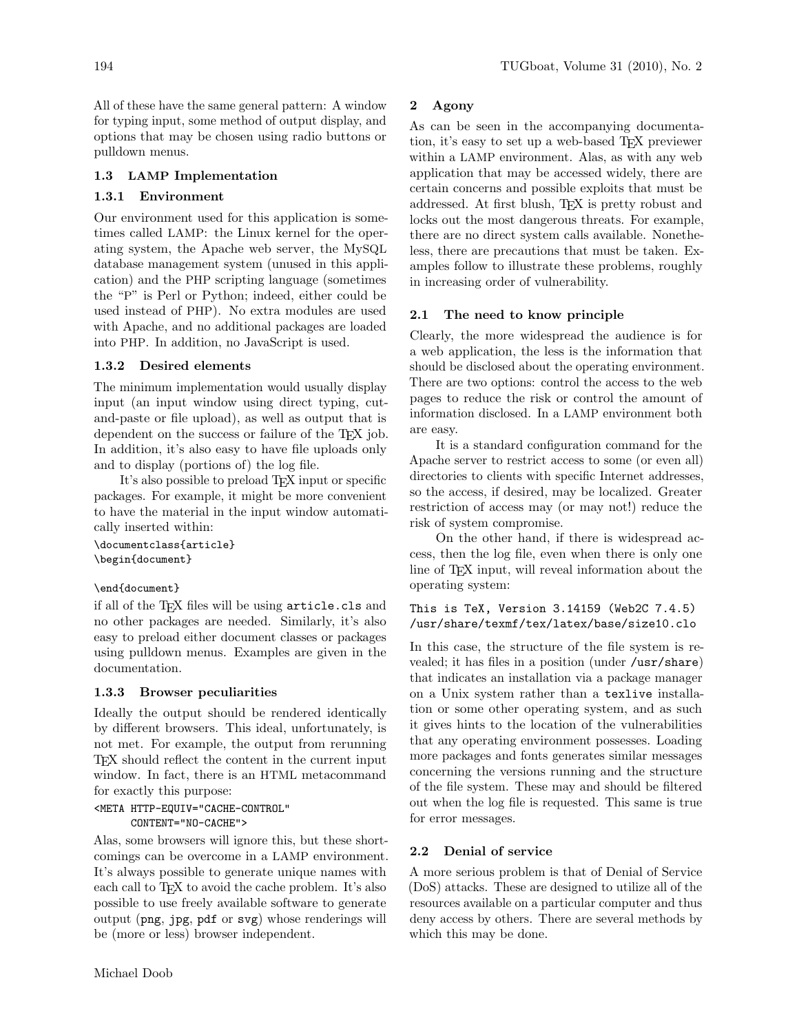All of these have the same general pattern: A window for typing input, some method of output display, and options that may be chosen using radio buttons or pulldown menus.

# 1.3 LAMP Implementation

## 1.3.1 Environment

Our environment used for this application is sometimes called LAMP: the Linux kernel for the operating system, the Apache web server, the MySQL database management system (unused in this application) and the PHP scripting language (sometimes the "P" is Perl or Python; indeed, either could be used instead of PHP). No extra modules are used with Apache, and no additional packages are loaded into PHP. In addition, no JavaScript is used.

# 1.3.2 Desired elements

The minimum implementation would usually display input (an input window using direct typing, cutand-paste or file upload), as well as output that is dependent on the success or failure of the T<sub>EX</sub> job. In addition, it's also easy to have file uploads only and to display (portions of) the log file.

It's also possible to preload TEX input or specific packages. For example, it might be more convenient to have the material in the input window automatically inserted within:

```
\documentclass{article}
\begin{document}
```
## \end{document}

if all of the T<sub>E</sub>X files will be using  $\arctan$ cls and no other packages are needed. Similarly, it's also easy to preload either document classes or packages using pulldown menus. Examples are given in the documentation.

## 1.3.3 Browser peculiarities

Ideally the output should be rendered identically by different browsers. This ideal, unfortunately, is not met. For example, the output from rerunning TEX should reflect the content in the current input window. In fact, there is an HTML metacommand for exactly this purpose:

```
<META HTTP-EQUIV="CACHE-CONTROL"
      CONTENT="NO-CACHE">
```
Alas, some browsers will ignore this, but these shortcomings can be overcome in a LAMP environment. It's always possible to generate unique names with each call to T<sub>EX</sub> to avoid the cache problem. It's also possible to use freely available software to generate output (png, jpg, pdf or svg) whose renderings will be (more or less) browser independent.

As can be seen in the accompanying documentation, it's easy to set up a web-based TEX previewer within a LAMP environment. Alas, as with any web application that may be accessed widely, there are certain concerns and possible exploits that must be addressed. At first blush, TEX is pretty robust and locks out the most dangerous threats. For example, there are no direct system calls available. Nonetheless, there are precautions that must be taken. Examples follow to illustrate these problems, roughly in increasing order of vulnerability.

## 2.1 The need to know principle

Clearly, the more widespread the audience is for a web application, the less is the information that should be disclosed about the operating environment. There are two options: control the access to the web pages to reduce the risk or control the amount of information disclosed. In a LAMP environment both are easy.

It is a standard configuration command for the Apache server to restrict access to some (or even all) directories to clients with specific Internet addresses, so the access, if desired, may be localized. Greater restriction of access may (or may not!) reduce the risk of system compromise.

On the other hand, if there is widespread access, then the log file, even when there is only one line of TEX input, will reveal information about the operating system:

# This is TeX, Version 3.14159 (Web2C 7.4.5) /usr/share/texmf/tex/latex/base/size10.clo

In this case, the structure of the file system is revealed; it has files in a position (under /usr/share) that indicates an installation via a package manager on a Unix system rather than a texlive installation or some other operating system, and as such it gives hints to the location of the vulnerabilities that any operating environment possesses. Loading more packages and fonts generates similar messages concerning the versions running and the structure of the file system. These may and should be filtered out when the log file is requested. This same is true for error messages.

# 2.2 Denial of service

A more serious problem is that of Denial of Service (DoS) attacks. These are designed to utilize all of the resources available on a particular computer and thus deny access by others. There are several methods by which this may be done.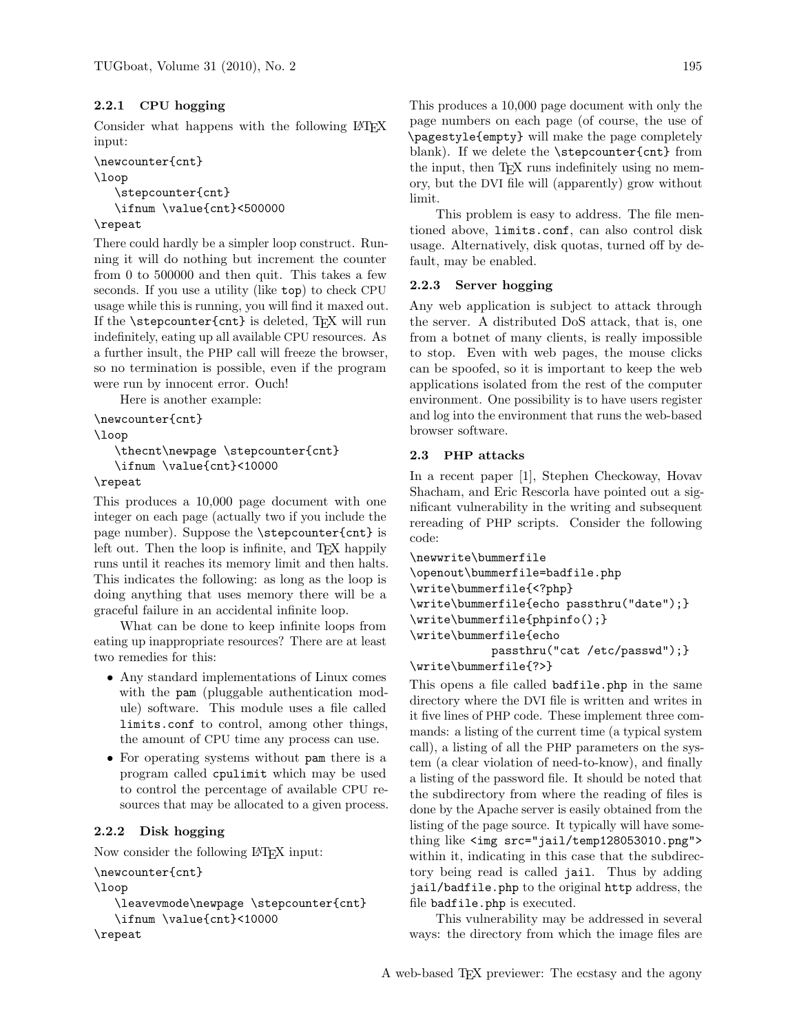# 2.2.1 CPU hogging

Consider what happens with the following LAT<sub>EX</sub> input:

```
\newcounter{cnt}
\loop
   \stepcounter{cnt}
   \ifnum \value{cnt}<500000
```
## \repeat

There could hardly be a simpler loop construct. Running it will do nothing but increment the counter from 0 to 500000 and then quit. This takes a few seconds. If you use a utility (like top) to check CPU usage while this is running, you will find it maxed out. If the **\stepcounter{cnt}** is deleted, TEX will run indefinitely, eating up all available CPU resources. As a further insult, the PHP call will freeze the browser, so no termination is possible, even if the program were run by innocent error. Ouch!

Here is another example:

```
\newcounter{cnt}
\loop
```
\thecnt\newpage \stepcounter{cnt} \ifnum \value{cnt}<10000

## \repeat

This produces a 10,000 page document with one integer on each page (actually two if you include the page number). Suppose the \stepcounter{cnt} is left out. Then the loop is infinite, and T<sub>E</sub>X happily runs until it reaches its memory limit and then halts. This indicates the following: as long as the loop is doing anything that uses memory there will be a graceful failure in an accidental infinite loop.

What can be done to keep infinite loops from eating up inappropriate resources? There are at least two remedies for this:

- Any standard implementations of Linux comes with the pam (pluggable authentication module) software. This module uses a file called limits.conf to control, among other things, the amount of CPU time any process can use.
- For operating systems without pam there is a program called cpulimit which may be used to control the percentage of available CPU resources that may be allocated to a given process.

# 2.2.2 Disk hogging

Now consider the following LATEX input:

```
\newcounter{cnt}
\loop
   \leavevmode\newpage \stepcounter{cnt}
   \ifnum \value{cnt}<10000
\repeat
```
This produces a 10,000 page document with only the page numbers on each page (of course, the use of \pagestyle{empty} will make the page completely blank). If we delete the \stepcounter{cnt} from the input, then TEX runs indefinitely using no memory, but the DVI file will (apparently) grow without limit.

This problem is easy to address. The file mentioned above, limits.conf, can also control disk usage. Alternatively, disk quotas, turned off by default, may be enabled.

## 2.2.3 Server hogging

Any web application is subject to attack through the server. A distributed DoS attack, that is, one from a botnet of many clients, is really impossible to stop. Even with web pages, the mouse clicks can be spoofed, so it is important to keep the web applications isolated from the rest of the computer environment. One possibility is to have users register and log into the environment that runs the web-based browser software.

## 2.3 PHP attacks

In a recent paper [1], Stephen Checkoway, Hovav Shacham, and Eric Rescorla have pointed out a significant vulnerability in the writing and subsequent rereading of PHP scripts. Consider the following code:

```
\newwrite\bummerfile
\openout\bummerfile=badfile.php
\write\bummerfile{<?php}
\write\bummerfile{echo passthru("date");}
\write\bummerfile{phpinfo();}
\write\bummerfile{echo
           passthru("cat /etc/passwd");}
\write\bummerfile{?>}
```
This opens a file called **badfile**.php in the same directory where the DVI file is written and writes in it five lines of PHP code. These implement three commands: a listing of the current time (a typical system call), a listing of all the PHP parameters on the system (a clear violation of need-to-know), and finally a listing of the password file. It should be noted that the subdirectory from where the reading of files is done by the Apache server is easily obtained from the listing of the page source. It typically will have something like <img src="jail/temp128053010.png"> within it, indicating in this case that the subdirectory being read is called jail. Thus by adding jail/badfile.php to the original http address, the file badfile.php is executed.

This vulnerability may be addressed in several ways: the directory from which the image files are